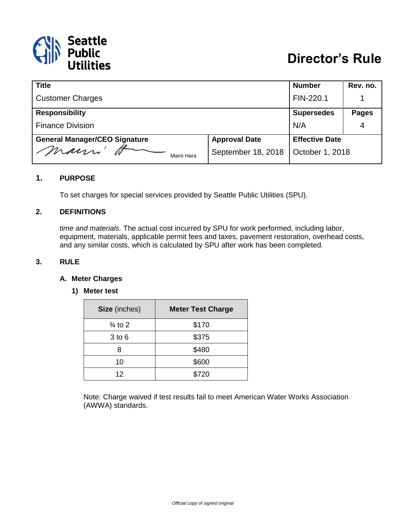

| <b>Title</b>                         |                      | <b>Number</b>         | Rev. no.     |
|--------------------------------------|----------------------|-----------------------|--------------|
| <b>Customer Charges</b>              |                      | FIN-220.1             |              |
| <b>Responsibility</b>                |                      | <b>Supersedes</b>     | <b>Pages</b> |
| <b>Finance Division</b>              | N/A                  | 4                     |              |
| <b>General Manager/CEO Signature</b> | <b>Approval Date</b> | <b>Effective Date</b> |              |
| mauri'<br>Mami Hara                  | September 18, 2018   | October 1, 2018       |              |

### **1. PURPOSE**

To set charges for special services provided by Seattle Public Utilities (SPU).

#### **2. DEFINITIONS**

*time and materials.* The actual cost incurred by SPU for work performed, including labor, equipment, materials, applicable permit fees and taxes, pavement restoration, overhead costs, and any similar costs, which is calculated by SPU after work has been completed.

### **3. RULE**

#### **A. Meter Charges**

#### **1) Meter test**

| Size (inches)      | <b>Meter Test Charge</b> |
|--------------------|--------------------------|
| $\frac{3}{4}$ to 2 | \$170                    |
| $3$ to $6$         | \$375                    |
| 8                  | \$480                    |
| 10                 | \$600                    |
| 12                 | \$720                    |

Note: Charge waived if test results fail to meet American Water Works Association (AWWA) standards.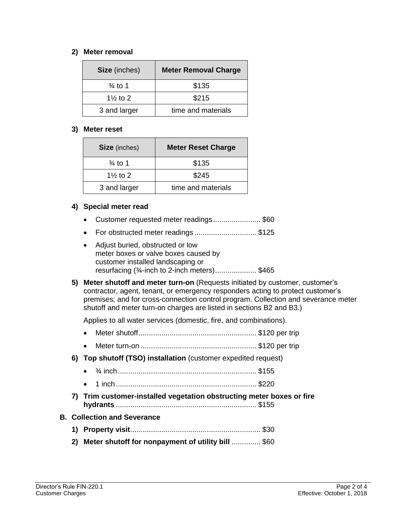### **2) Meter removal**

| <b>Meter Removal Charge</b><br>Size (inches) |                    |
|----------------------------------------------|--------------------|
| $\frac{3}{4}$ to 1                           | \$135              |
| 1 $\frac{1}{2}$ to 2                         | \$215              |
| 3 and larger                                 | time and materials |

#### **3) Meter reset**

| Size (inches)        | <b>Meter Reset Charge</b> |
|----------------------|---------------------------|
| $\frac{3}{4}$ to 1   | \$135                     |
| 1 $\frac{1}{2}$ to 2 | \$245                     |
| 3 and larger         | time and materials        |

### **4) Special meter read**

- Customer requested meter readings....................... \$60
- For obstructed meter readings .............................. \$125
- Adjust buried, obstructed or low meter boxes or valve boxes caused by customer installed landscaping or resurfacing (¾-inch to 2-inch meters).................... \$465
- **5) Meter shutoff and meter turn-on** (Requests initiated by customer, customer's contractor, agent, tenant, or emergency responders acting to protect customer's premises; and for cross-connection control program. Collection and severance meter shutoff and meter turn-on charges are listed in sections B2 and B3.)

Applies to all water services (domestic, fire, and combinations).

- Meter shutoff......................................................... \$120 per trip
- Meter turn-on ........................................................ \$120 per trip
- **6) Top shutoff (TSO) installation** (customer expedited request)
	- ¾ inch................................................................... \$155
	- 1 inch.................................................................... \$220
- **7) Trim customer-installed vegetation obstructing meter boxes or fire hydrants** .................................................................... \$155

## **B. Collection and Severance**

- **1) Property visit**............................................................... \$30
- **2) Meter shutoff for nonpayment of utility bill** .............. \$60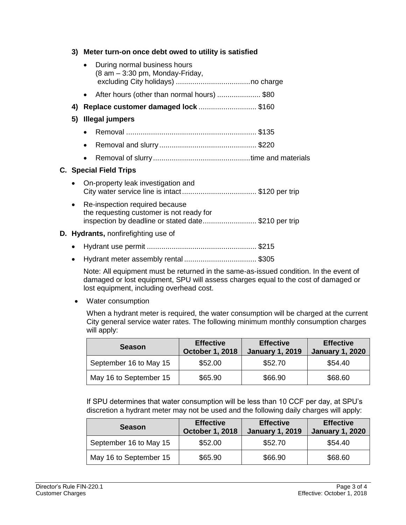## **3) Meter turn-on once debt owed to utility is satisfied**

|           |           | • During normal business hours<br>(8 am - 3:30 pm, Monday-Friday,                                                                 |  |
|-----------|-----------|-----------------------------------------------------------------------------------------------------------------------------------|--|
|           |           | • After hours (other than normal hours) \$80                                                                                      |  |
|           |           | 4) Replace customer damaged lock \$160                                                                                            |  |
| 5)        |           | Illegal jumpers                                                                                                                   |  |
|           | $\bullet$ |                                                                                                                                   |  |
|           | $\bullet$ |                                                                                                                                   |  |
|           | $\bullet$ |                                                                                                                                   |  |
|           |           | <b>C.</b> Special Field Trips                                                                                                     |  |
| $\bullet$ |           | On-property leak investigation and                                                                                                |  |
| $\bullet$ |           | Re-inspection required because<br>the requesting customer is not ready for<br>inspection by deadline or stated date\$210 per trip |  |
|           |           | <b>D.</b> Hydrants, nonfirefighting use of                                                                                        |  |
|           |           |                                                                                                                                   |  |

- Hydrant use permit ..................................................... \$215
- Hydrant meter assembly rental ................................... \$305

Note: All equipment must be returned in the same-as-issued condition. In the event of damaged or lost equipment, SPU will assess charges equal to the cost of damaged or lost equipment, including overhead cost.

• Water consumption

When a hydrant meter is required, the water consumption will be charged at the current City general service water rates. The following minimum monthly consumption charges will apply:

| <b>Season</b>          | <b>Effective</b><br><b>October 1, 2018</b> | <b>Effective</b><br><b>January 1, 2019</b> | <b>Effective</b><br><b>January 1, 2020</b> |
|------------------------|--------------------------------------------|--------------------------------------------|--------------------------------------------|
| September 16 to May 15 | \$52.00                                    | \$52.70                                    | \$54.40                                    |
| May 16 to September 15 | \$65.90                                    | \$66.90                                    | \$68.60                                    |

If SPU determines that water consumption will be less than 10 CCF per day, at SPU's discretion a hydrant meter may not be used and the following daily charges will apply:

| <b>Season</b>          | <b>Effective</b><br><b>October 1, 2018</b> | <b>Effective</b><br><b>January 1, 2019</b> | <b>Effective</b><br><b>January 1, 2020</b> |
|------------------------|--------------------------------------------|--------------------------------------------|--------------------------------------------|
| September 16 to May 15 | \$52.00                                    | \$52.70                                    | \$54.40                                    |
| May 16 to September 15 | \$65.90                                    | \$66.90                                    | \$68.60                                    |